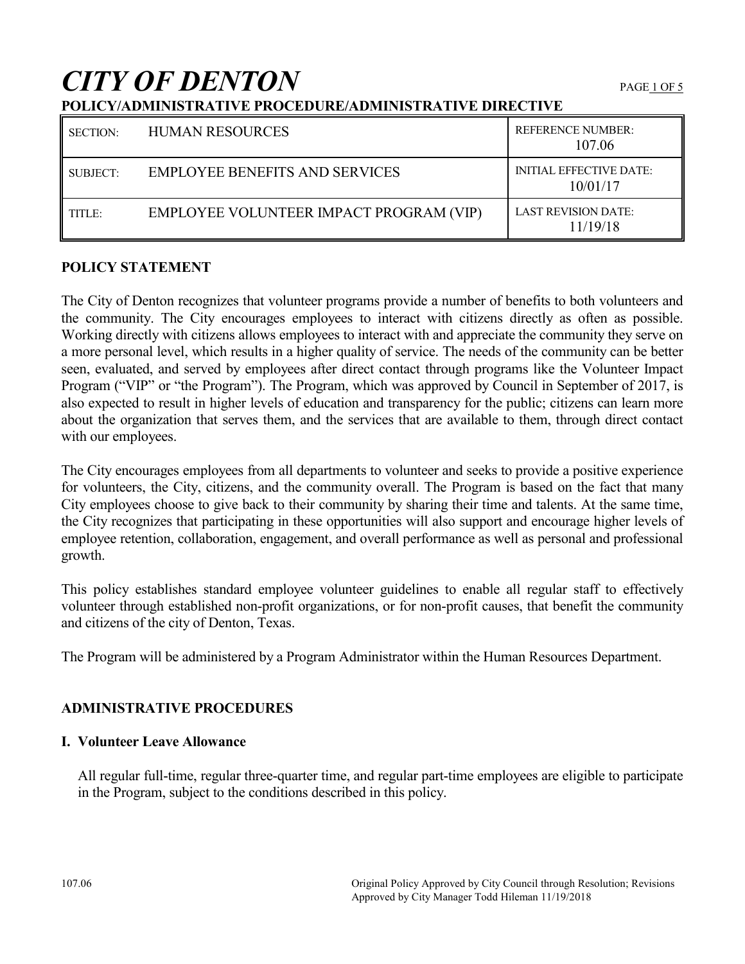# **CITY OF DENTON**

## **POLICY/ADMINISTRATIVE PROCEDURE/ADMINISTRATIVE DIRECTIVE**

| <b>SECTION:</b> | <b>HUMAN RESOURCES</b>                  | <b>REFERENCE NUMBER:</b><br>107.06         |
|-----------------|-----------------------------------------|--------------------------------------------|
| SUBJECT:        | <b>EMPLOYEE BENEFITS AND SERVICES</b>   | <b>INITIAL EFFECTIVE DATE:</b><br>10/01/17 |
| TITLE:          | EMPLOYEE VOLUNTEER IMPACT PROGRAM (VIP) | <b>LAST REVISION DATE:</b><br>11/19/18     |

## **POLICY STATEMENT**

The City of Denton recognizes that volunteer programs provide a number of benefits to both volunteers and the community. The City encourages employees to interact with citizens directly as often as possible. Working directly with citizens allows employees to interact with and appreciate the community they serve on a more personal level, which results in a higher quality of service. The needs of the community can be better seen, evaluated, and served by employees after direct contact through programs like the Volunteer Impact Program ("VIP" or "the Program"). The Program, which was approved by Council in September of 2017, is also expected to result in higher levels of education and transparency for the public; citizens can learn more about the organization that serves them, and the services that are available to them, through direct contact with our employees.

The City encourages employees from all departments to volunteer and seeks to provide a positive experience for volunteers, the City, citizens, and the community overall. The Program is based on the fact that many City employees choose to give back to their community by sharing their time and talents. At the same time, the City recognizes that participating in these opportunities will also support and encourage higher levels of employee retention, collaboration, engagement, and overall performance as well as personal and professional growth.

This policy establishes standard employee volunteer guidelines to enable all regular staff to effectively volunteer through established non-profit organizations, or for non-profit causes, that benefit the community and citizens of the city of Denton, Texas.

The Program will be administered by a Program Administrator within the Human Resources Department.

## **ADMINISTRATIVE PROCEDURES**

## **I. Volunteer Leave Allowance**

All regular full-time, regular three-quarter time, and regular part-time employees are eligible to participate in the Program, subject to the conditions described in this policy.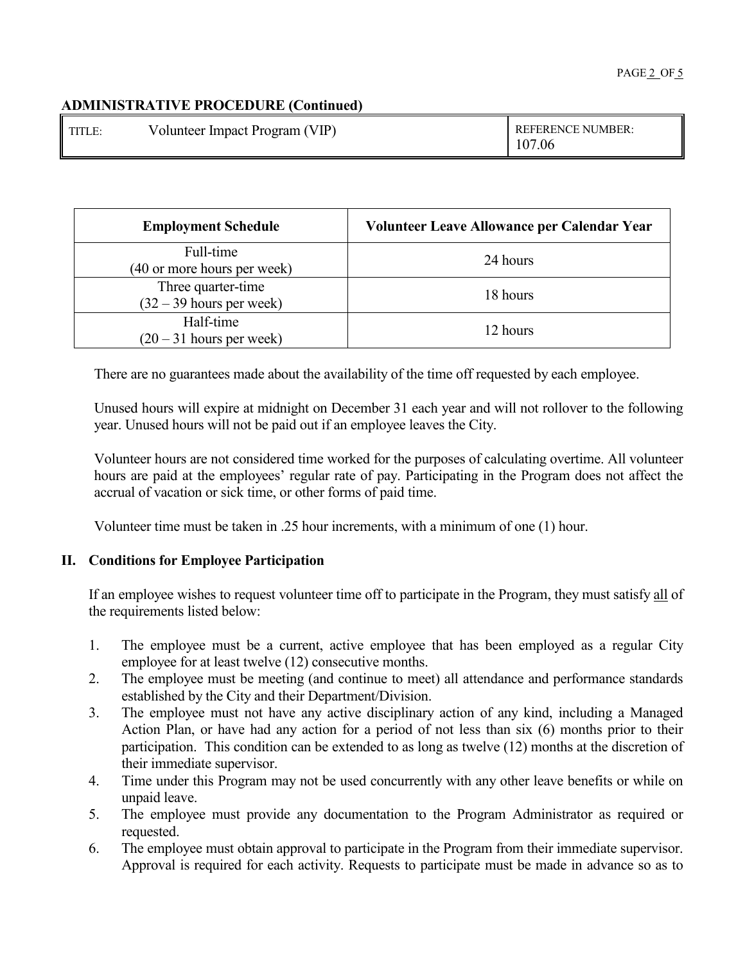| <b>TITLE</b> | Volunteer Impact Program (VIP) | <b>REFERENCE NUMBER:</b><br>107.06 |
|--------------|--------------------------------|------------------------------------|
|              |                                |                                    |

| <b>Employment Schedule</b>                       | Volunteer Leave Allowance per Calendar Year |
|--------------------------------------------------|---------------------------------------------|
| Full-time<br>(40 or more hours per week)         | 24 hours                                    |
| Three quarter-time<br>$(32 – 39$ hours per week) | 18 hours                                    |
| Half-time<br>$(20 - 31$ hours per week)          | 12 hours                                    |

There are no guarantees made about the availability of the time off requested by each employee.

Unused hours will expire at midnight on December 31 each year and will not rollover to the following year. Unused hours will not be paid out if an employee leaves the City.

Volunteer hours are not considered time worked for the purposes of calculating overtime. All volunteer hours are paid at the employees' regular rate of pay. Participating in the Program does not affect the accrual of vacation or sick time, or other forms of paid time.

Volunteer time must be taken in .25 hour increments, with a minimum of one (1) hour.

## **II. Conditions for Employee Participation**

If an employee wishes to request volunteer time off to participate in the Program, they must satisfy all of the requirements listed below:

- 1. The employee must be a current, active employee that has been employed as a regular City employee for at least twelve (12) consecutive months.
- 2. The employee must be meeting (and continue to meet) all attendance and performance standards established by the City and their Department/Division.
- 3. The employee must not have any active disciplinary action of any kind, including a Managed Action Plan, or have had any action for a period of not less than six (6) months prior to their participation. This condition can be extended to as long as twelve (12) months at the discretion of their immediate supervisor.
- 4. Time under this Program may not be used concurrently with any other leave benefits or while on unpaid leave.
- 5. The employee must provide any documentation to the Program Administrator as required or requested.
- 6. The employee must obtain approval to participate in the Program from their immediate supervisor. Approval is required for each activity. Requests to participate must be made in advance so as to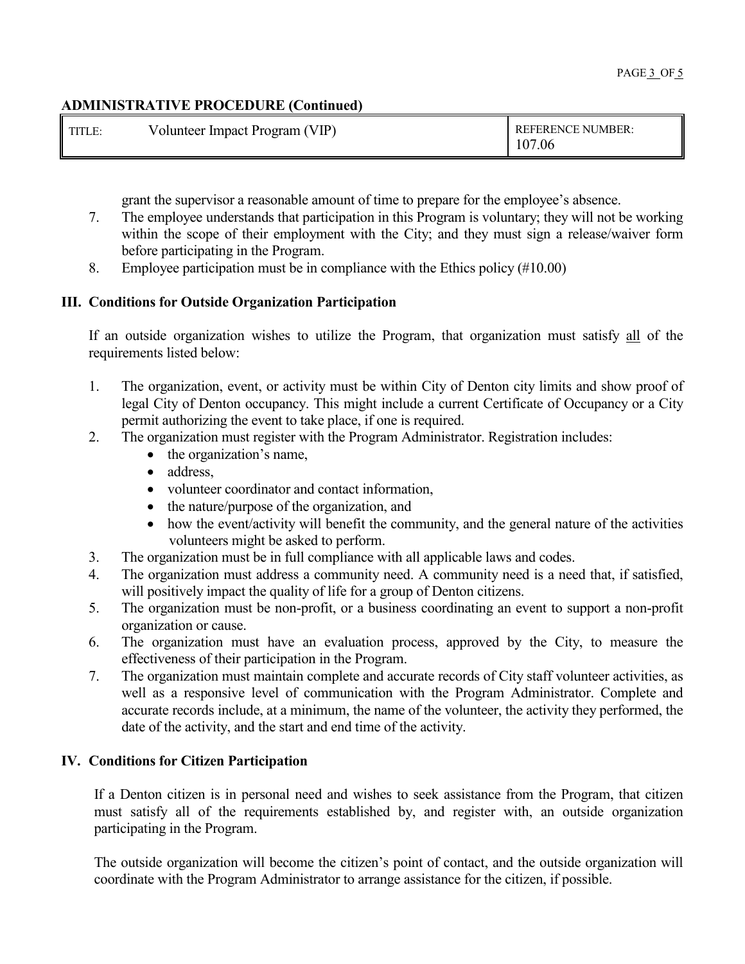| <b>I</b> TITLE: | Volunteer Impact Program (VIP) | <b>REFERENCE NUMBER:</b><br>07ء<br>2.06 |
|-----------------|--------------------------------|-----------------------------------------|
|                 |                                |                                         |

grant the supervisor a reasonable amount of time to prepare for the employee's absence.

- 7. The employee understands that participation in this Program is voluntary; they will not be working within the scope of their employment with the City; and they must sign a release/waiver form before participating in the Program.
- 8. Employee participation must be in compliance with the Ethics policy (#10.00)

## **III. Conditions for Outside Organization Participation**

If an outside organization wishes to utilize the Program, that organization must satisfy all of the requirements listed below:

- 1. The organization, event, or activity must be within City of Denton city limits and show proof of legal City of Denton occupancy. This might include a current Certificate of Occupancy or a City permit authorizing the event to take place, if one is required.
- 2. The organization must register with the Program Administrator. Registration includes:
	- the organization's name,
	- address.
	- volunteer coordinator and contact information,
	- the nature/purpose of the organization, and
	- how the event/activity will benefit the community, and the general nature of the activities volunteers might be asked to perform.
- 3. The organization must be in full compliance with all applicable laws and codes.
- 4. The organization must address a community need. A community need is a need that, if satisfied, will positively impact the quality of life for a group of Denton citizens.
- 5. The organization must be non-profit, or a business coordinating an event to support a non-profit organization or cause.
- 6. The organization must have an evaluation process, approved by the City, to measure the effectiveness of their participation in the Program.
- 7. The organization must maintain complete and accurate records of City staff volunteer activities, as well as a responsive level of communication with the Program Administrator. Complete and accurate records include, at a minimum, the name of the volunteer, the activity they performed, the date of the activity, and the start and end time of the activity.

## **IV. Conditions for Citizen Participation**

If a Denton citizen is in personal need and wishes to seek assistance from the Program, that citizen must satisfy all of the requirements established by, and register with, an outside organization participating in the Program.

The outside organization will become the citizen's point of contact, and the outside organization will coordinate with the Program Administrator to arrange assistance for the citizen, if possible.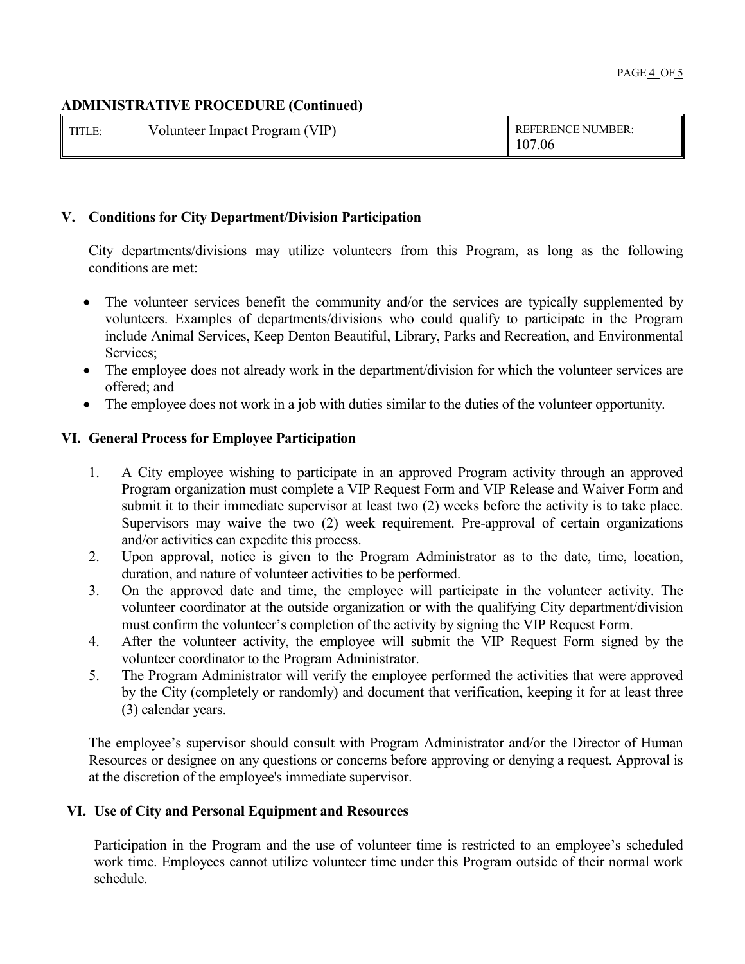| <b>I</b> TITLE: | Volunteer Impact Program (VIP) | <b>REFERENCE NUMBER:</b><br>107.06 |
|-----------------|--------------------------------|------------------------------------|
|-----------------|--------------------------------|------------------------------------|

## **V. Conditions for City Department/Division Participation**

City departments/divisions may utilize volunteers from this Program, as long as the following conditions are met:

- The volunteer services benefit the community and/or the services are typically supplemented by volunteers. Examples of departments/divisions who could qualify to participate in the Program include Animal Services, Keep Denton Beautiful, Library, Parks and Recreation, and Environmental Services;
- The employee does not already work in the department/division for which the volunteer services are offered; and
- The employee does not work in a job with duties similar to the duties of the volunteer opportunity.

## **VI. General Process for Employee Participation**

- 1. A City employee wishing to participate in an approved Program activity through an approved Program organization must complete a VIP Request Form and VIP Release and Waiver Form and submit it to their immediate supervisor at least two (2) weeks before the activity is to take place. Supervisors may waive the two (2) week requirement. Pre-approval of certain organizations and/or activities can expedite this process.
- 2. Upon approval, notice is given to the Program Administrator as to the date, time, location, duration, and nature of volunteer activities to be performed.
- 3. On the approved date and time, the employee will participate in the volunteer activity. The volunteer coordinator at the outside organization or with the qualifying City department/division must confirm the volunteer's completion of the activity by signing the VIP Request Form.
- 4. After the volunteer activity, the employee will submit the VIP Request Form signed by the volunteer coordinator to the Program Administrator.
- 5. The Program Administrator will verify the employee performed the activities that were approved by the City (completely or randomly) and document that verification, keeping it for at least three (3) calendar years.

The employee's supervisor should consult with Program Administrator and/or the Director of Human Resources or designee on any questions or concerns before approving or denying a request. Approval is at the discretion of the employee's immediate supervisor.

## **VI. Use of City and Personal Equipment and Resources**

Participation in the Program and the use of volunteer time is restricted to an employee's scheduled work time. Employees cannot utilize volunteer time under this Program outside of their normal work schedule.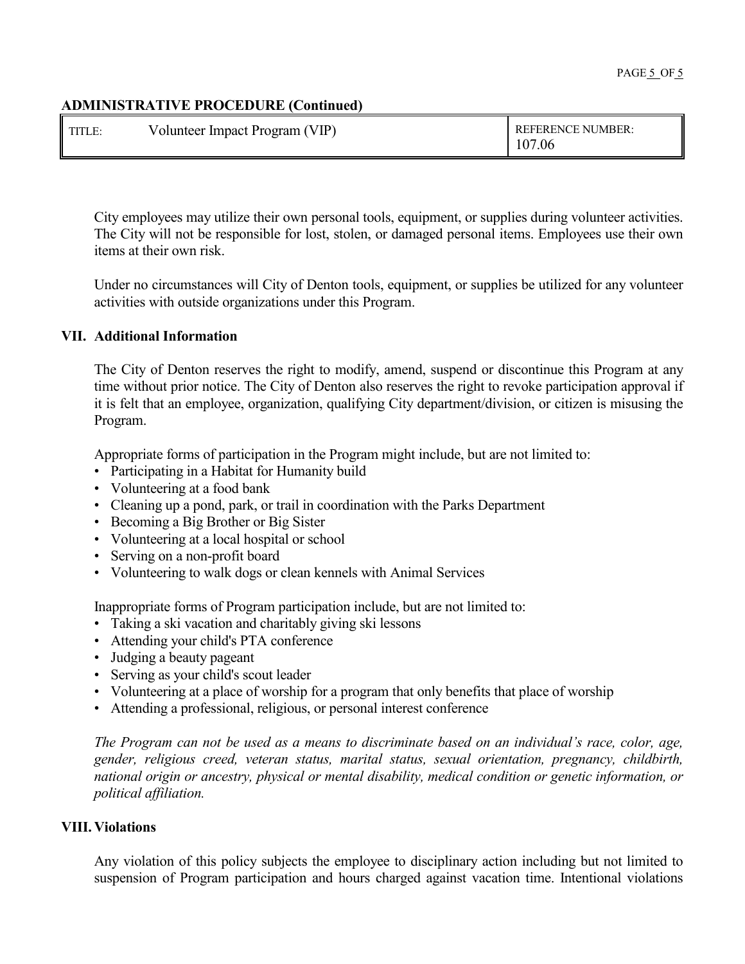| <b>TITLE:</b> | Volunteer Impact Program (VIP) | <b>REFERENCE NUMBER:</b><br>107.06 |
|---------------|--------------------------------|------------------------------------|
|---------------|--------------------------------|------------------------------------|

City employees may utilize their own personal tools, equipment, or supplies during volunteer activities. The City will not be responsible for lost, stolen, or damaged personal items. Employees use their own items at their own risk.

Under no circumstances will City of Denton tools, equipment, or supplies be utilized for any volunteer activities with outside organizations under this Program.

#### **VII. Additional Information**

The City of Denton reserves the right to modify, amend, suspend or discontinue this Program at any time without prior notice. The City of Denton also reserves the right to revoke participation approval if it is felt that an employee, organization, qualifying City department/division, or citizen is misusing the Program.

Appropriate forms of participation in the Program might include, but are not limited to:

- Participating in a Habitat for Humanity build
- Volunteering at a food bank
- Cleaning up a pond, park, or trail in coordination with the Parks Department
- Becoming a Big Brother or Big Sister
- Volunteering at a local hospital or school
- Serving on a non-profit board
- Volunteering to walk dogs or clean kennels with Animal Services

Inappropriate forms of Program participation include, but are not limited to:

- Taking a ski vacation and charitably giving ski lessons
- Attending your child's PTA conference
- Judging a beauty pageant
- Serving as your child's scout leader
- Volunteering at a place of worship for a program that only benefits that place of worship
- Attending a professional, religious, or personal interest conference

*The Program can not be used as a means to discriminate based on an individual's race, color, age, gender, religious creed, veteran status, marital status, sexual orientation, pregnancy, childbirth, national origin or ancestry, physical or mental disability, medical condition or genetic information, or political affiliation.*

#### **VIII. Violations**

Any violation of this policy subjects the employee to disciplinary action including but not limited to suspension of Program participation and hours charged against vacation time. Intentional violations